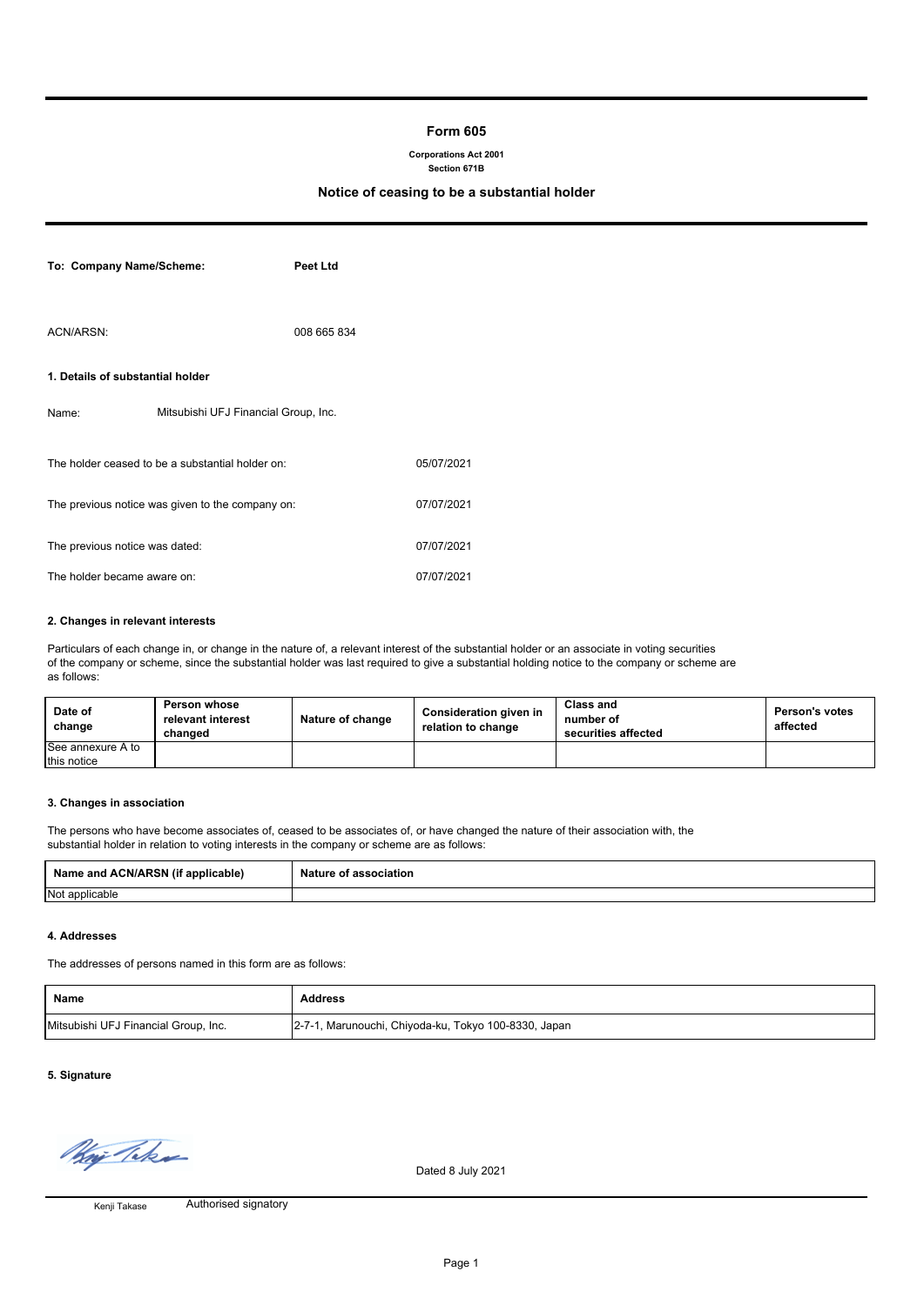## **Form 605**

## **Corporations Act 2001**

#### **Section 671B**

## **Notice of ceasing to be a substantial holder**

| To: Company Name/Scheme:                                       |                                      | <b>Peet Ltd</b> |            |
|----------------------------------------------------------------|--------------------------------------|-----------------|------------|
| ACN/ARSN:                                                      |                                      | 008 665 834     |            |
| 1. Details of substantial holder                               |                                      |                 |            |
| Name:                                                          | Mitsubishi UFJ Financial Group, Inc. |                 |            |
| The holder ceased to be a substantial holder on:<br>05/07/2021 |                                      |                 |            |
| The previous notice was given to the company on:               |                                      | 07/07/2021      |            |
| 07/07/2021<br>The previous notice was dated:                   |                                      |                 |            |
| The holder became aware on:                                    |                                      |                 | 07/07/2021 |

#### **2. Changes in relevant interests**

Particulars of each change in, or change in the nature of, a relevant interest of the substantial holder or an associate in voting securities of the company or scheme, since the substantial holder was last required to give a substantial holding notice to the company or scheme are as follows:

| Date of<br>change | Person whose<br>relevant interest<br>changed | Nature of change | Consideration given in<br>relation to change | Class and<br>number of<br>securities affected | <b>Person's votes</b><br>affected |
|-------------------|----------------------------------------------|------------------|----------------------------------------------|-----------------------------------------------|-----------------------------------|
| See annexure A to |                                              |                  |                                              |                                               |                                   |
| this notice       |                                              |                  |                                              |                                               |                                   |

#### **3. Changes in association**

The persons who have become associates of, ceased to be associates of, or have changed the nature of their association with, the substantial holder in relation to voting interests in the company or scheme are as follows:

| Name and ACN/ARSN (if applicable) | Nature of association |
|-----------------------------------|-----------------------|
| Not applicable                    |                       |

#### **4. Addresses**

The addresses of persons named in this form are as follows:

| <b>Name</b>                          | <b>Address</b>                                       |
|--------------------------------------|------------------------------------------------------|
| Mitsubishi UFJ Financial Group, Inc. | 2-7-1, Marunouchi, Chiyoda-ku, Tokyo 100-8330, Japan |

# **5. Signature**

Way Take

Dated 8 July 2021

Kenji Takase

Authorised signatory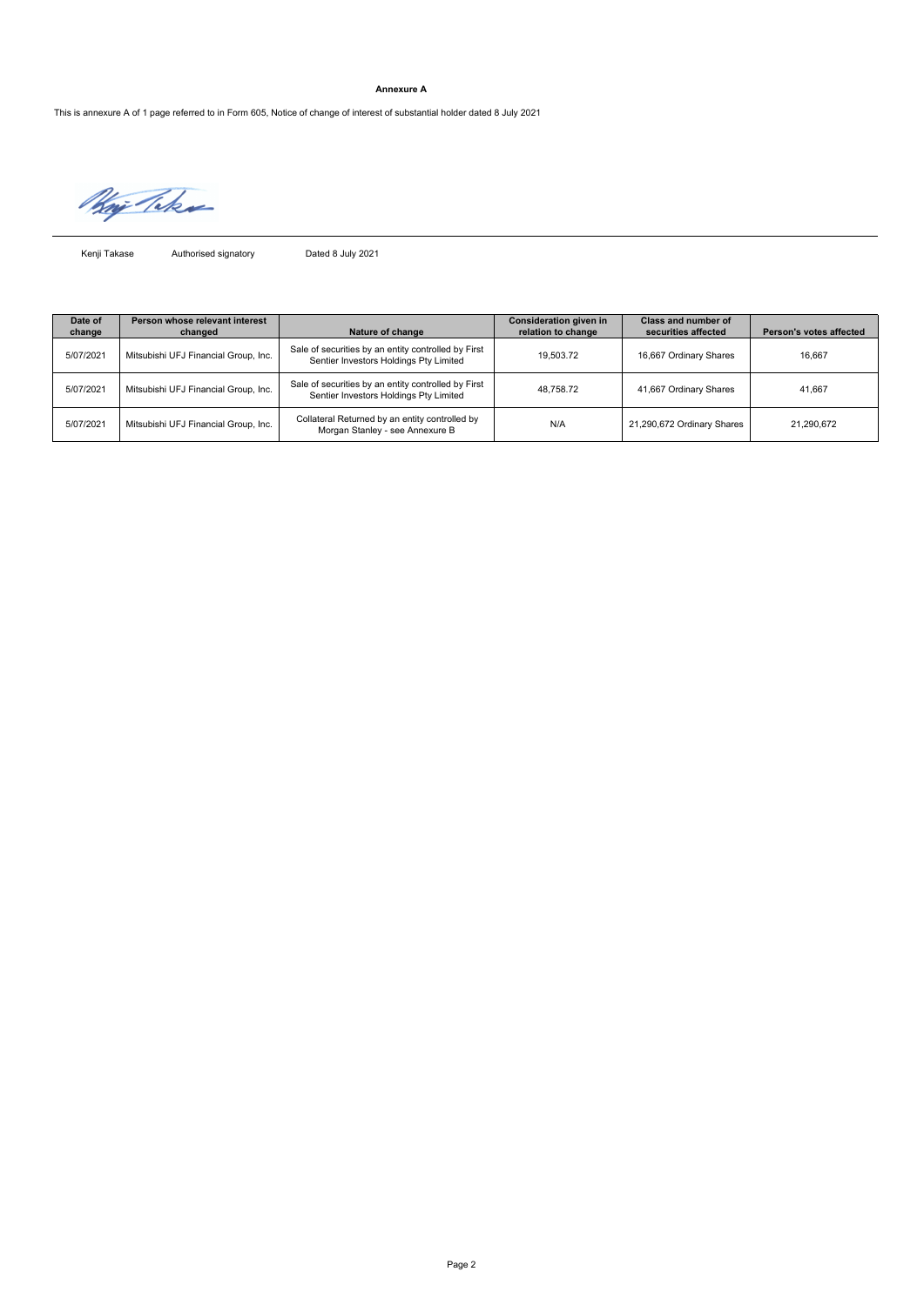#### **Annexure A**

This is annexure A of 1 page referred to in Form 605, Notice of change of interest of substantial holder dated 8 July 2021

Hoj Take

Kenji Takase

Authorised signatory Dated 8 July 2021

| Date of<br>change | Person whose relevant interest<br>changed | Nature of change                                                                              | <b>Consideration given in</b><br>relation to change | Class and number of<br>securities affected | Person's votes affected |
|-------------------|-------------------------------------------|-----------------------------------------------------------------------------------------------|-----------------------------------------------------|--------------------------------------------|-------------------------|
| 5/07/2021         | Mitsubishi UFJ Financial Group, Inc.      | Sale of securities by an entity controlled by First<br>Sentier Investors Holdings Pty Limited | 19.503.72                                           | 16,667 Ordinary Shares                     | 16.667                  |
| 5/07/2021         | Mitsubishi UFJ Financial Group, Inc.      | Sale of securities by an entity controlled by First<br>Sentier Investors Holdings Pty Limited | 48.758.72                                           | 41,667 Ordinary Shares                     | 41.667                  |
| 5/07/2021         | Mitsubishi UFJ Financial Group, Inc.      | Collateral Returned by an entity controlled by<br>Morgan Stanley - see Annexure B             | N/A                                                 | 21,290,672 Ordinary Shares                 | 21.290.672              |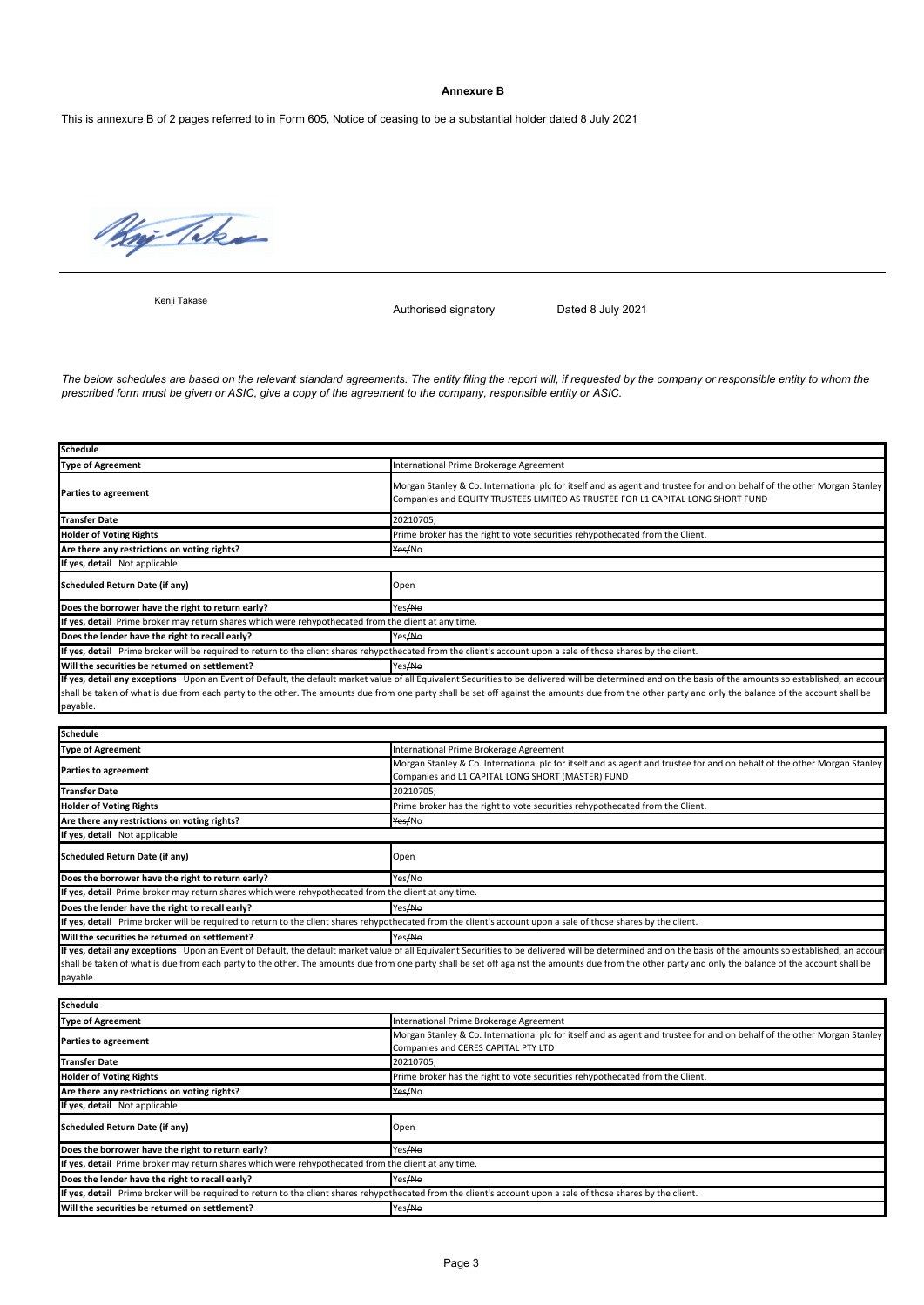#### **Annexure B**

This is annexure B of 2 pages referred to in Form 605, Notice of ceasing to be a substantial holder dated 8 July 2021

Whip Teke

Kenji Takase

Authorised signatory Dated 8 July 2021

*The below schedules are based on the relevant standard agreements. The entity filing the report will, if requested by the company or responsible entity to whom the prescribed form must be given or ASIC, give a copy of the agreement to the company, responsible entity or ASIC.*

| <b>Schedule</b>                                                                                                                                                 |                                                                                                                                                                                                             |  |  |
|-----------------------------------------------------------------------------------------------------------------------------------------------------------------|-------------------------------------------------------------------------------------------------------------------------------------------------------------------------------------------------------------|--|--|
| <b>Type of Agreement</b>                                                                                                                                        | International Prime Brokerage Agreement                                                                                                                                                                     |  |  |
| Parties to agreement                                                                                                                                            | Morgan Stanley & Co. International plc for itself and as agent and trustee for and on behalf of the other Morgan Stanley<br>Companies and EQUITY TRUSTEES LIMITED AS TRUSTEE FOR L1 CAPITAL LONG SHORT FUND |  |  |
| <b>Transfer Date</b>                                                                                                                                            | 20210705;                                                                                                                                                                                                   |  |  |
| <b>Holder of Voting Rights</b>                                                                                                                                  | Prime broker has the right to vote securities rehypothecated from the Client.                                                                                                                               |  |  |
| Are there any restrictions on voting rights?                                                                                                                    | Yes/No                                                                                                                                                                                                      |  |  |
| If yes, detail Not applicable                                                                                                                                   |                                                                                                                                                                                                             |  |  |
| Scheduled Return Date (if any)                                                                                                                                  | Open                                                                                                                                                                                                        |  |  |
| Does the borrower have the right to return early?                                                                                                               | Yes/No                                                                                                                                                                                                      |  |  |
| If yes, detail Prime broker may return shares which were rehypothecated from the client at any time.                                                            |                                                                                                                                                                                                             |  |  |
| Does the lender have the right to recall early?                                                                                                                 | Yes/No                                                                                                                                                                                                      |  |  |
| If yes, detail Prime broker will be required to return to the client shares rehypothecated from the client's account upon a sale of those shares by the client. |                                                                                                                                                                                                             |  |  |
| Will the securities be returned on settlement?                                                                                                                  | Yes/No                                                                                                                                                                                                      |  |  |
|                                                                                                                                                                 | If yes, detail any exceptions Upon an Event of Default, the default market value of all Equivalent Securities to be delivered will be determined and on the basis of the amounts so established, an accour  |  |  |
|                                                                                                                                                                 | shall be taken of what is due from each party to the other. The amounts due from one party shall be set off against the amounts due from the other party and only the balance of the account shall be       |  |  |
| payable.                                                                                                                                                        |                                                                                                                                                                                                             |  |  |

| Schedule                                                                                                                                                                                              |                                                                                                                                                                                                            |  |  |  |
|-------------------------------------------------------------------------------------------------------------------------------------------------------------------------------------------------------|------------------------------------------------------------------------------------------------------------------------------------------------------------------------------------------------------------|--|--|--|
| <b>Type of Agreement</b>                                                                                                                                                                              | International Prime Brokerage Agreement                                                                                                                                                                    |  |  |  |
| Parties to agreement                                                                                                                                                                                  | Morgan Stanley & Co. International plc for itself and as agent and trustee for and on behalf of the other Morgan Stanley<br>Companies and L1 CAPITAL LONG SHORT (MASTER) FUND                              |  |  |  |
| <b>Transfer Date</b>                                                                                                                                                                                  | 20210705;                                                                                                                                                                                                  |  |  |  |
| <b>Holder of Voting Rights</b>                                                                                                                                                                        | Prime broker has the right to vote securities rehypothecated from the Client.                                                                                                                              |  |  |  |
| Are there any restrictions on voting rights?                                                                                                                                                          | Yes/No                                                                                                                                                                                                     |  |  |  |
| If yes, detail Not applicable                                                                                                                                                                         |                                                                                                                                                                                                            |  |  |  |
| Scheduled Return Date (if any)                                                                                                                                                                        | Open                                                                                                                                                                                                       |  |  |  |
| Does the borrower have the right to return early?                                                                                                                                                     | Yes/No                                                                                                                                                                                                     |  |  |  |
| If yes, detail Prime broker may return shares which were rehypothecated from the client at any time.                                                                                                  |                                                                                                                                                                                                            |  |  |  |
| Does the lender have the right to recall early?                                                                                                                                                       | Yes/No                                                                                                                                                                                                     |  |  |  |
| If yes, detail Prime broker will be required to return to the client shares rehypothecated from the client's account upon a sale of those shares by the client.                                       |                                                                                                                                                                                                            |  |  |  |
| Will the securities be returned on settlement?                                                                                                                                                        | Yes/No                                                                                                                                                                                                     |  |  |  |
|                                                                                                                                                                                                       | If yes, detail any exceptions Upon an Event of Default, the default market value of all Equivalent Securities to be delivered will be determined and on the basis of the amounts so established, an accour |  |  |  |
| shall be taken of what is due from each party to the other. The amounts due from one party shall be set off against the amounts due from the other party and only the balance of the account shall be |                                                                                                                                                                                                            |  |  |  |
| payable.                                                                                                                                                                                              |                                                                                                                                                                                                            |  |  |  |

| <b>Schedule</b>                                                                                                                                                 |                                                                                                                          |  |  |  |
|-----------------------------------------------------------------------------------------------------------------------------------------------------------------|--------------------------------------------------------------------------------------------------------------------------|--|--|--|
| <b>Type of Agreement</b>                                                                                                                                        | International Prime Brokerage Agreement                                                                                  |  |  |  |
| <b>Parties to agreement</b>                                                                                                                                     | Morgan Stanley & Co. International plc for itself and as agent and trustee for and on behalf of the other Morgan Stanley |  |  |  |
|                                                                                                                                                                 | Companies and CERES CAPITAL PTY LTD                                                                                      |  |  |  |
| <b>Transfer Date</b>                                                                                                                                            | 20210705;                                                                                                                |  |  |  |
| <b>Holder of Voting Rights</b>                                                                                                                                  | Prime broker has the right to vote securities rehypothecated from the Client.                                            |  |  |  |
| Are there any restrictions on voting rights?                                                                                                                    | Yes/No                                                                                                                   |  |  |  |
| If yes, detail Not applicable                                                                                                                                   |                                                                                                                          |  |  |  |
| Scheduled Return Date (if any)                                                                                                                                  | Open                                                                                                                     |  |  |  |
| Does the borrower have the right to return early?                                                                                                               | Yes/No                                                                                                                   |  |  |  |
| If yes, detail Prime broker may return shares which were rehypothecated from the client at any time.                                                            |                                                                                                                          |  |  |  |
| Does the lender have the right to recall early?                                                                                                                 | Yes/No                                                                                                                   |  |  |  |
| If yes, detail Prime broker will be required to return to the client shares rehypothecated from the client's account upon a sale of those shares by the client. |                                                                                                                          |  |  |  |
| Will the securities be returned on settlement?                                                                                                                  | Yes/No                                                                                                                   |  |  |  |